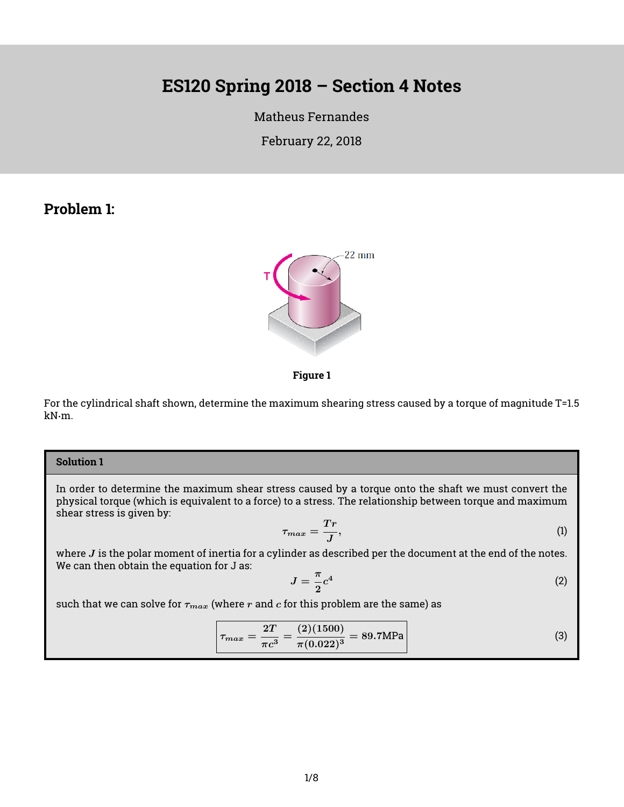# **ES120 Spring 2018 – Section 4 Notes**

[Matheus Fernandes](http://fer.me)

February 22, 2018

## **Problem 1:**





For the cylindrical shaft shown, determine the maximum shearing stress caused by a torque of magnitude T=1.5 kN·m.

### **Solution 1**

In order to determine the maximum shear stress caused by a torque onto the shaft we must convert the physical torque (which is equivalent to a force) to a stress. The relationship between torque and maximum shear stress is given by:

$$
\tau_{max} = \frac{Tr}{J},\tag{1}
$$

where  $J$  is the polar moment of inertia for a cylinder as described per the document at the end of the notes. We can then obtain the equation for J as:

$$
J = \frac{\pi}{2}c^4\tag{2}
$$

such that we can solve for  $\tau_{max}$  (where r and c for this problem are the same) as

$$
\tau_{max} = \frac{2T}{\pi c^3} = \frac{(2)(1500)}{\pi (0.022)^3} = 89.7 \text{MPa}
$$
\n(3)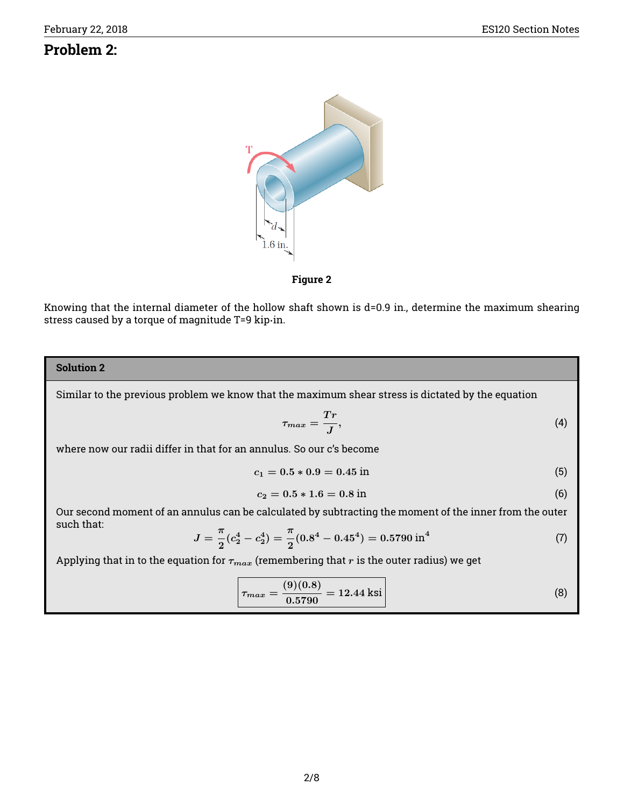## **Problem 2:**



**Figure 2**

Knowing that the internal diameter of the hollow shaft shown is d=0.9 in., determine the maximum shearing stress caused by a torque of magnitude T=9 kip·in.

## **Solution 2**

Similar to the previous problem we know that the maximum shear stress is dictated by the equation

$$
\tau_{max} = \frac{Tr}{J},\tag{4}
$$

where now our radii differ in that for an annulus. So our c's become

$$
c_1 = 0.5 * 0.9 = 0.45 \text{ in}
$$
 (5)

$$
c_2 = 0.5 * 1.6 = 0.8 \text{ in}
$$
 (6)

Our second moment of an annulus can be calculated by subtracting the moment of the inner from the outer such that:

$$
J = \frac{\pi}{2}(c_2^4 - c_2^4) = \frac{\pi}{2}(0.8^4 - 0.45^4) = 0.5790 \,\text{in}^4 \tag{7}
$$

Applying that in to the equation for  $\tau_{max}$  (remembering that r is the outer radius) we get

$$
\tau_{max} = \frac{(9)(0.8)}{0.5790} = 12.44 \text{ ksi}
$$
 (8)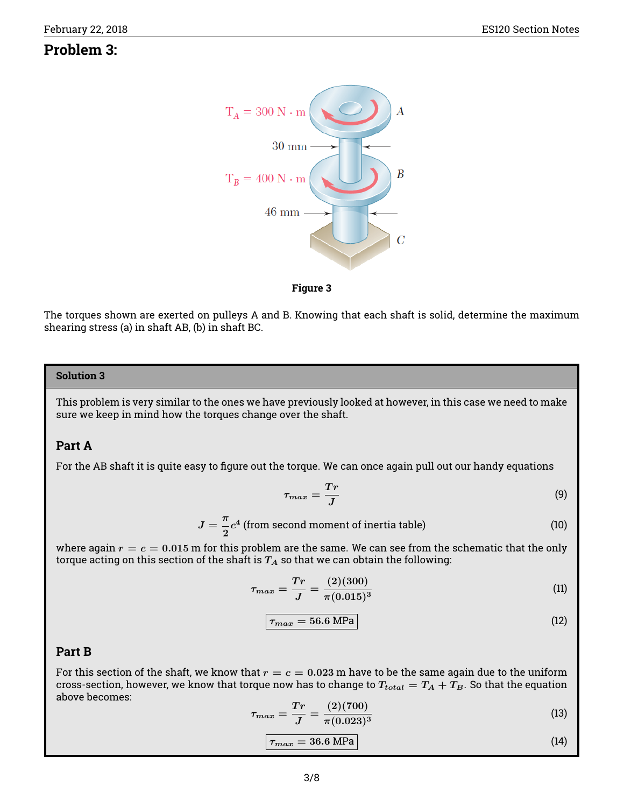## **Problem 3:**





The torques shown are exerted on pulleys A and B. Knowing that each shaft is solid, determine the maximum shearing stress (a) in shaft AB, (b) in shaft BC.

### **Solution 3**

This problem is very similar to the ones we have previously looked at however, in this case we need to make sure we keep in mind how the torques change over the shaft.

#### **Part A**

For the AB shaft it is quite easy to figure out the torque. We can once again pull out our handy equations

$$
\tau_{max} = \frac{Tr}{J} \tag{9}
$$

$$
J = \frac{\pi}{2}c^4
$$
 (from second moment of inertia table) \t(10)

where again  $r = c = 0.015$  m for this problem are the same. We can see from the schematic that the only torque acting on this section of the shaft is  $T_A$  so that we can obtain the following:

$$
\tau_{max} = \frac{Tr}{J} = \frac{(2)(300)}{\pi (0.015)^3} \tag{11}
$$

$$
\boxed{\tau_{max} = 56.6 \text{ MPa}} \tag{12}
$$

### **Part B**

For this section of the shaft, we know that  $r = c = 0.023$  m have to be the same again due to the uniform cross-section, however, we know that torque now has to change to  $T_{total} = T_A + T_B$ . So that the equation above becomes:

$$
\tau_{max} = \frac{Tr}{J} = \frac{(2)(700)}{\pi (0.023)^3}
$$
\n(13)

$$
\tau_{max} = 36.6 \text{ MPa} \tag{14}
$$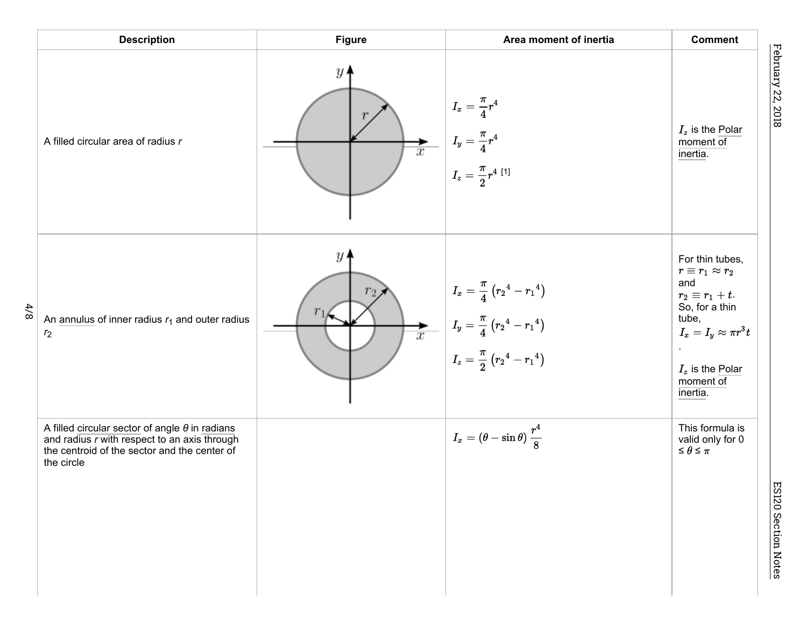|       | <b>Description</b>                                                                                                                                                  | <b>Figure</b>                                                 | Area moment of inertia                                                                                                                                                                                                                  | <b>Comment</b>                                                                                                                                                                       |
|-------|---------------------------------------------------------------------------------------------------------------------------------------------------------------------|---------------------------------------------------------------|-----------------------------------------------------------------------------------------------------------------------------------------------------------------------------------------------------------------------------------------|--------------------------------------------------------------------------------------------------------------------------------------------------------------------------------------|
|       | A filled circular area of radius r                                                                                                                                  | $y\prime$<br>$\overline{\overline{x}}$                        | $I_x=\frac{\pi}{4}r^4$<br>$I_y = \frac{\pi}{4}r^4$<br>$I_z = \frac{\pi}{2}r^4$ [1]                                                                                                                                                      | $I_z$ is the Polar<br>moment $of$<br>inertia.                                                                                                                                        |
| $4/8$ | An annulus of inner radius $r_1$ and outer radius<br>r <sub>2</sub>                                                                                                 | y <sub>1</sub><br>r <sub>2</sub><br>$\overline{\overline{x}}$ | $I_x = \frac{\pi}{4} (r_2{}^4 - r_1{}^4)$<br>$\begin{array}{ c} \hline \rule[-1.2ex]{0.4ex}{.1ex} I_y=\frac{\pi}{4}\left(r_2{}^4-r_1{}^4\right) \ \rule[-1.2ex]{0.4ex}{.1ex} I_z=\frac{\pi}{2}\left(r_2{}^4-r_1{}^4\right) \end{array}$ | For thin tubes,<br>$r\equiv r_1\approx r_2$<br>and<br>$r_2 \equiv r_1 + t$ .<br>So, for a thin<br>tube,<br>$I_x=I_y\approx \pi r^3 t$<br>$I_z$ is the Polar<br>moment of<br>inertia. |
|       | A filled circular sector of angle $\theta$ in radians<br>and radius r with respect to an axis through<br>the centroid of the sector and the center of<br>the circle |                                                               | $I_x = (\theta - \sin \theta) \, \frac{r^4}{8}$                                                                                                                                                                                         | This formula is<br>valid only for 0<br>$\leq \theta \leq \pi$                                                                                                                        |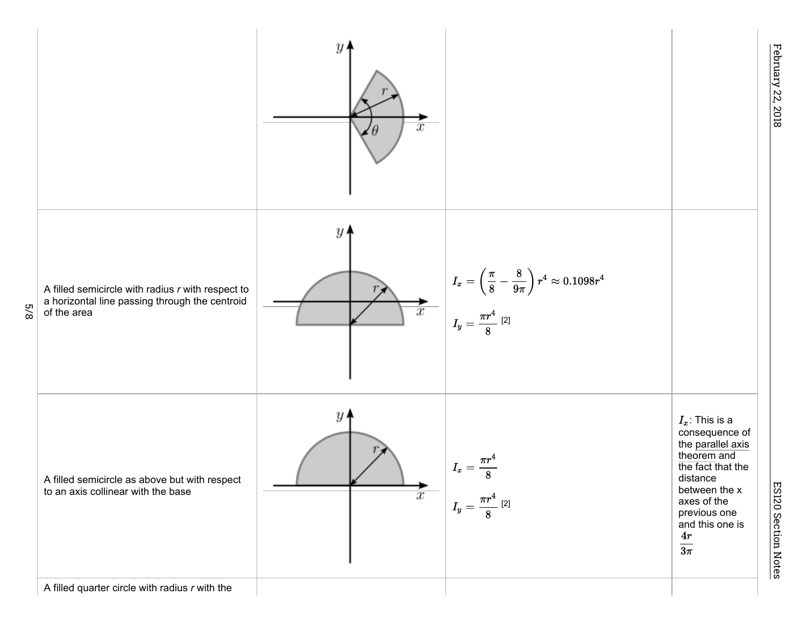

ES120 Section Notes ES120 Section Notes

February 22, 2018 February 22, 2018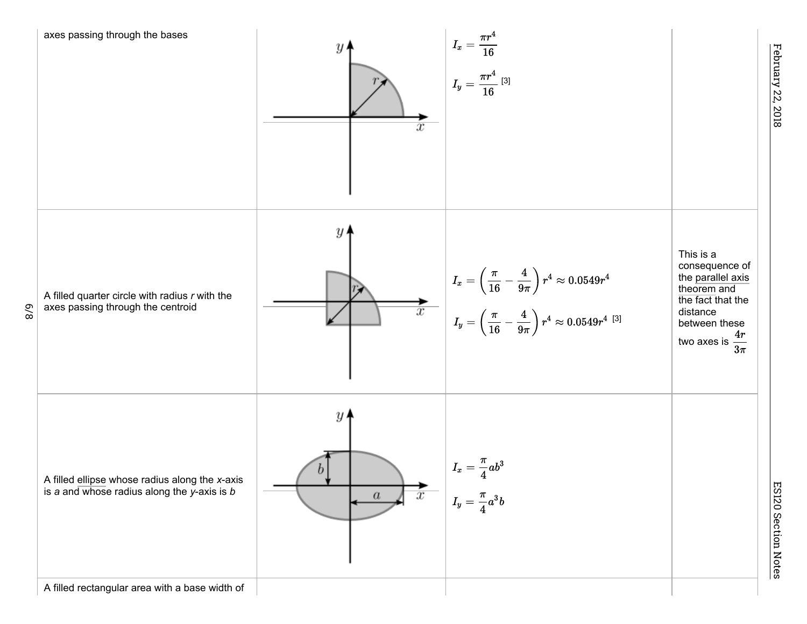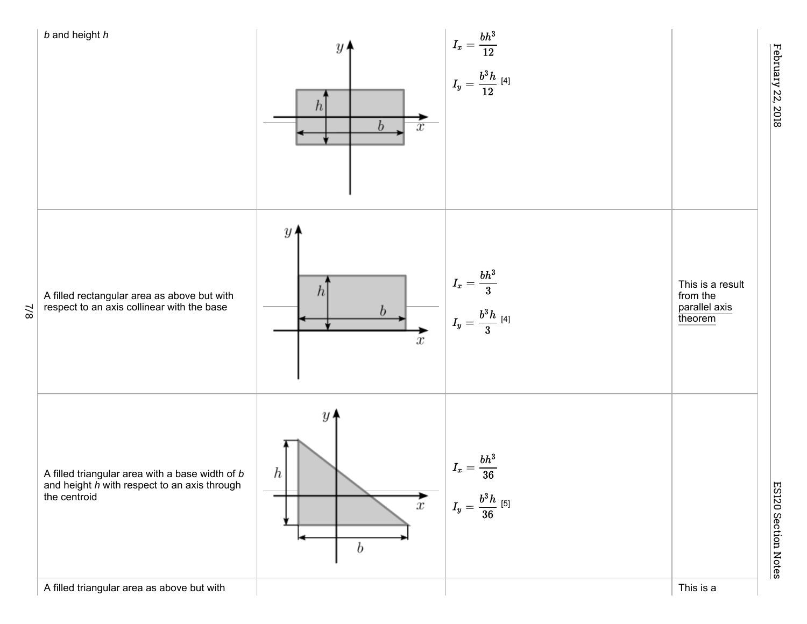

February 22, 2018

February 22, 2018

ES120 Section Notes

ES120 Section Notes